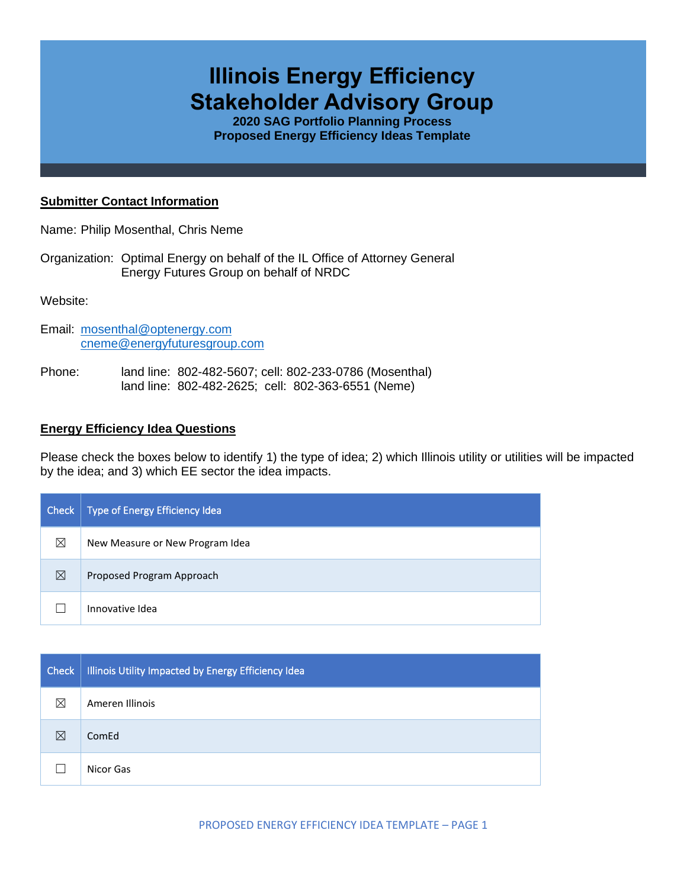# **Illinois Energy Efficiency Stakeholder Advisory Group**

**2020 SAG Portfolio Planning Process Proposed Energy Efficiency Ideas Template**

#### **Submitter Contact Information**

Name: Philip Mosenthal, Chris Neme

Organization: Optimal Energy on behalf of the IL Office of Attorney General Energy Futures Group on behalf of NRDC

Website:

- Email: [mosenthal@optenergy.com](mailto:mosenthal@optenergy.com) [cneme@energyfuturesgroup.com](mailto:cneme@energyfuturesgroup.com)
- Phone: land line: 802-482-5607; cell: 802-233-0786 (Mosenthal) land line: 802-482-2625; cell: 802-363-6551 (Neme)

### **Energy Efficiency Idea Questions**

Please check the boxes below to identify 1) the type of idea; 2) which Illinois utility or utilities will be impacted by the idea; and 3) which EE sector the idea impacts.

| Check       | Type of Energy Efficiency Idea  |
|-------------|---------------------------------|
| $\boxtimes$ | New Measure or New Program Idea |
| $\boxtimes$ | Proposed Program Approach       |
|             | Innovative Idea                 |

| Check       | Illinois Utility Impacted by Energy Efficiency Idea |
|-------------|-----------------------------------------------------|
| $\boxtimes$ | Ameren Illinois                                     |
| ⊠           | ComEd                                               |
|             | Nicor Gas                                           |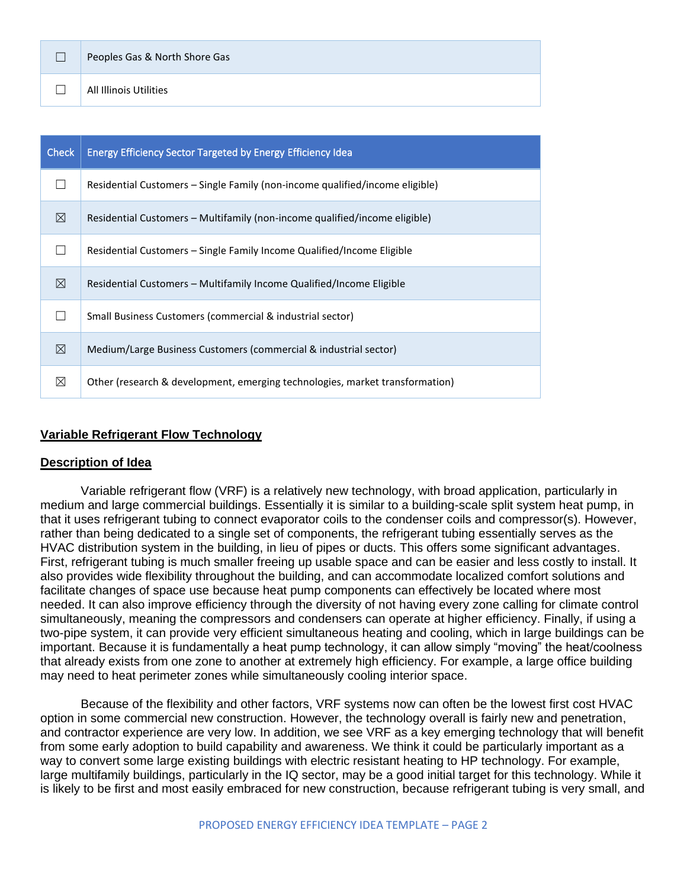| Peoples Gas & North Shore Gas |  |
|-------------------------------|--|
| All Illinois Utilities        |  |

| <b>Check</b> | <b>Energy Efficiency Sector Targeted by Energy Efficiency Idea</b>           |
|--------------|------------------------------------------------------------------------------|
|              | Residential Customers – Single Family (non-income qualified/income eligible) |
| $\boxtimes$  | Residential Customers – Multifamily (non-income qualified/income eligible)   |
|              | Residential Customers – Single Family Income Qualified/Income Eligible       |
| ⊠            | Residential Customers – Multifamily Income Qualified/Income Eligible         |
|              | Small Business Customers (commercial & industrial sector)                    |
| $\boxtimes$  | Medium/Large Business Customers (commercial & industrial sector)             |
| ⊠            | Other (research & development, emerging technologies, market transformation) |

## **Variable Refrigerant Flow Technology**

### **Description of Idea**

Variable refrigerant flow (VRF) is a relatively new technology, with broad application, particularly in medium and large commercial buildings. Essentially it is similar to a building-scale split system heat pump, in that it uses refrigerant tubing to connect evaporator coils to the condenser coils and compressor(s). However, rather than being dedicated to a single set of components, the refrigerant tubing essentially serves as the HVAC distribution system in the building, in lieu of pipes or ducts. This offers some significant advantages. First, refrigerant tubing is much smaller freeing up usable space and can be easier and less costly to install. It also provides wide flexibility throughout the building, and can accommodate localized comfort solutions and facilitate changes of space use because heat pump components can effectively be located where most needed. It can also improve efficiency through the diversity of not having every zone calling for climate control simultaneously, meaning the compressors and condensers can operate at higher efficiency. Finally, if using a two-pipe system, it can provide very efficient simultaneous heating and cooling, which in large buildings can be important. Because it is fundamentally a heat pump technology, it can allow simply "moving" the heat/coolness that already exists from one zone to another at extremely high efficiency. For example, a large office building may need to heat perimeter zones while simultaneously cooling interior space.

Because of the flexibility and other factors, VRF systems now can often be the lowest first cost HVAC option in some commercial new construction. However, the technology overall is fairly new and penetration, and contractor experience are very low. In addition, we see VRF as a key emerging technology that will benefit from some early adoption to build capability and awareness. We think it could be particularly important as a way to convert some large existing buildings with electric resistant heating to HP technology. For example, large multifamily buildings, particularly in the IQ sector, may be a good initial target for this technology. While it is likely to be first and most easily embraced for new construction, because refrigerant tubing is very small, and